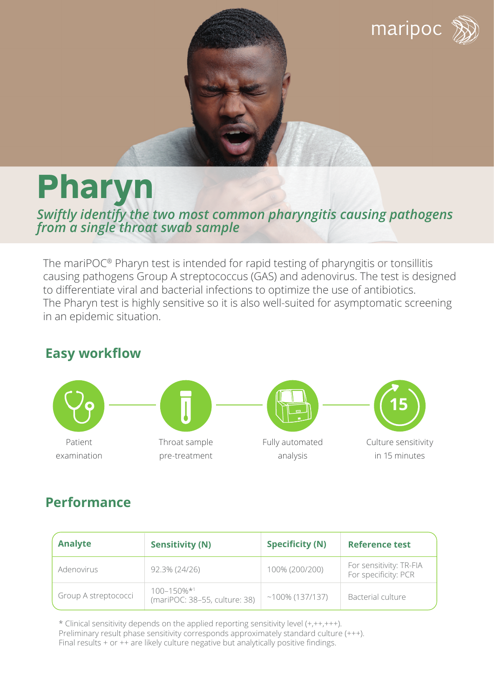

# **Pharyn**

*Swiftly identify the two most common pharyngitis causing pathogens from a single throat swab sample*

The mariPOC® Pharyn test is intended for rapid testing of pharyngitis or tonsillitis causing pathogens Group A streptococcus (GAS) and adenovirus. The test is designed to differentiate viral and bacterial infections to optimize the use of antibiotics. The Pharyn test is highly sensitive so it is also well-suited for asymptomatic screening in an epidemic situation.

# **Easy workflow**



# **Performance**

| <b>Analyte</b>       | <b>Sensitivity (N)</b>                            | <b>Specificity (N)</b> | <b>Reference test</b>                           |
|----------------------|---------------------------------------------------|------------------------|-------------------------------------------------|
| Adenovirus           | 92.3% (24/26)                                     | 100% (200/200)         | For sensitivity: TR-FIA<br>For specificity: PCR |
| Group A streptococci | $100 - 150\%$ *1<br>(mariPOC: 38-55, culture: 38) | $~100\%$ (137/137)     | Bacterial culture                               |

\* Clinical sensitivity depends on the applied reporting sensitivity level (+,++,+++). Preliminary result phase sensitivity corresponds approximately standard culture (+++). Final results + or ++ are likely culture negative but analytically positive findings.